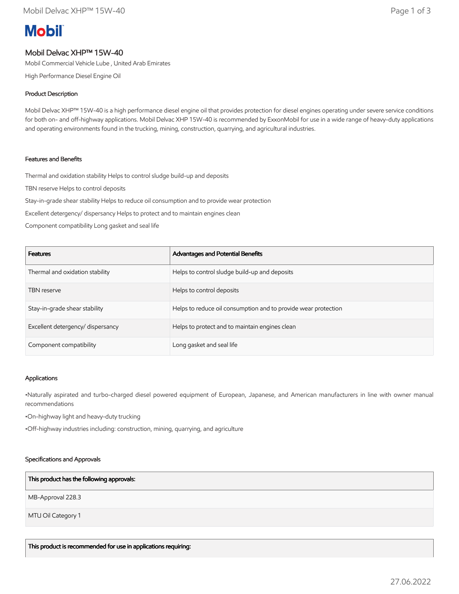# **Mobil**

## Mobil Delvac XHP™ 15W-40

Mobil Commercial Vehicle Lube , United Arab Emirates

High Performance Diesel Engine Oil

## Product Description

Mobil Delvac XHP™ 15W-40 is a high performance diesel engine oil that provides protection for diesel engines operating under severe service conditions for both on- and off-highway applications. Mobil Delvac XHP 15W-40 is recommended by ExxonMobil for use in a wide range of heavy-duty applications and operating environments found in the trucking, mining, construction, quarrying, and agricultural industries.

### Features and Benefits

Thermal and oxidation stability Helps to control sludge build-up and deposits

TBN reserve Helps to control deposits

Stay-in-grade shear stability Helps to reduce oil consumption and to provide wear protection

Excellent detergency/ dispersancy Helps to protect and to maintain engines clean

Component compatibility Long gasket and seal life

| <b>Features</b>                   | Advantages and Potential Benefits                              |
|-----------------------------------|----------------------------------------------------------------|
| Thermal and oxidation stability   | Helps to control sludge build-up and deposits                  |
| <b>TBN</b> reserve                | Helps to control deposits                                      |
| Stay-in-grade shear stability     | Helps to reduce oil consumption and to provide wear protection |
| Excellent detergency/ dispersancy | Helps to protect and to maintain engines clean                 |
| Component compatibility           | Long gasket and seal life                                      |

#### Applications

•Naturally aspirated and turbo-charged diesel powered equipment of European, Japanese, and American manufacturers in line with owner manual recommendations

•On-highway light and heavy-duty trucking

•Off-highway industries including: construction, mining, quarrying, and agriculture

#### Specifications and Approvals

#### This product has the following approvals:

MB-Approval 228.3

MTU Oil Category 1

This product is recommended for use in applications requiring: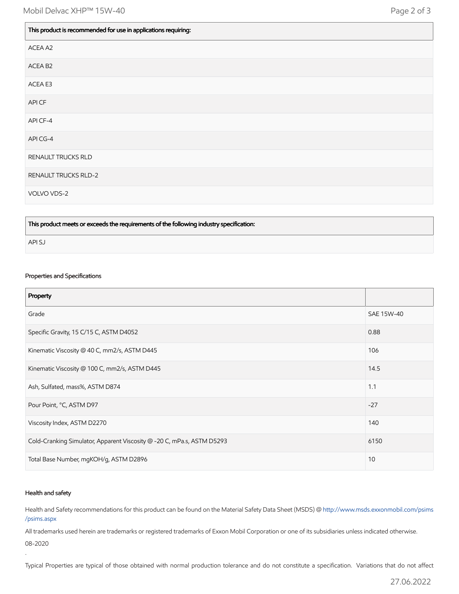$\mathbb{L}$ 

 $\blacksquare$ 

| This product is recommended for use in applications requiring: |
|----------------------------------------------------------------|
| ACEA A2                                                        |
| ACEA B <sub>2</sub>                                            |
| ACEA E3                                                        |
| API CF                                                         |
| API CF-4                                                       |
| API CG-4                                                       |
| RENAULT TRUCKS RLD                                             |
| <b>RENAULT TRUCKS RLD-2</b>                                    |
| VOLVO VDS-2                                                    |

This product meets or exceeds the requirements of the following industry specification:

API SJ

#### Properties and Specifications

| Property                                                               |            |
|------------------------------------------------------------------------|------------|
| Grade                                                                  | SAE 15W-40 |
| Specific Gravity, 15 C/15 C, ASTM D4052                                | 0.88       |
| Kinematic Viscosity @ 40 C, mm2/s, ASTM D445                           | 106        |
| Kinematic Viscosity @ 100 C, mm2/s, ASTM D445                          | 14.5       |
| Ash, Sulfated, mass%, ASTM D874                                        | 1.1        |
| Pour Point, °C, ASTM D97                                               | $-27$      |
| Viscosity Index, ASTM D2270                                            | 140        |
| Cold-Cranking Simulator, Apparent Viscosity @ -20 C, mPa.s, ASTM D5293 | 6150       |
| Total Base Number, mgKOH/g, ASTM D2896                                 | 10         |

#### Health and safety

.

Health and Safety recommendations for this product can be found on the Material Safety Data Sheet (MSDS) @ [http://www.msds.exxonmobil.com/psims](http://www.msds.exxonmobil.com/psims/psims.aspx) /psims.aspx

All trademarks used herein are trademarks or registered trademarks of Exxon Mobil Corporation or one of its subsidiaries unless indicated otherwise. 08-2020

Typical Properties are typical of those obtained with normal production tolerance and do not constitute a specification. Variations that do not affect